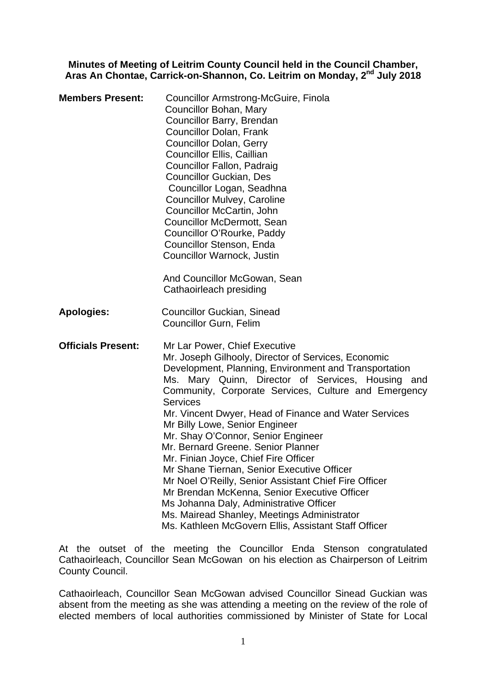## **Minutes of Meeting of Leitrim County Council held in the Council Chamber, Aras An Chontae, Carrick-on-Shannon, Co. Leitrim on Monday, 2nd July 2018**

| <b>Members Present:</b>   | <b>Councillor Armstrong-McGuire, Finola</b><br>Councillor Bohan, Mary<br>Councillor Barry, Brendan<br><b>Councillor Dolan, Frank</b><br><b>Councillor Dolan, Gerry</b><br>Councillor Ellis, Caillian<br>Councillor Fallon, Padraig<br><b>Councillor Guckian, Des</b><br>Councillor Logan, Seadhna<br><b>Councillor Mulvey, Caroline</b><br>Councillor McCartin, John<br><b>Councillor McDermott, Sean</b><br>Councillor O'Rourke, Paddy<br>Councillor Stenson, Enda<br>Councillor Warnock, Justin<br>And Councillor McGowan, Sean<br>Cathaoirleach presiding                                                                                                                                                                                                                                          |
|---------------------------|-------------------------------------------------------------------------------------------------------------------------------------------------------------------------------------------------------------------------------------------------------------------------------------------------------------------------------------------------------------------------------------------------------------------------------------------------------------------------------------------------------------------------------------------------------------------------------------------------------------------------------------------------------------------------------------------------------------------------------------------------------------------------------------------------------|
| <b>Apologies:</b>         | <b>Councillor Guckian, Sinead</b><br><b>Councillor Gurn, Felim</b>                                                                                                                                                                                                                                                                                                                                                                                                                                                                                                                                                                                                                                                                                                                                    |
| <b>Officials Present:</b> | Mr Lar Power, Chief Executive<br>Mr. Joseph Gilhooly, Director of Services, Economic<br>Development, Planning, Environment and Transportation<br>Ms. Mary Quinn, Director of Services, Housing and<br>Community, Corporate Services, Culture and Emergency<br><b>Services</b><br>Mr. Vincent Dwyer, Head of Finance and Water Services<br>Mr Billy Lowe, Senior Engineer<br>Mr. Shay O'Connor, Senior Engineer<br>Mr. Bernard Greene, Senior Planner<br>Mr. Finian Joyce, Chief Fire Officer<br>Mr Shane Tiernan, Senior Executive Officer<br>Mr Noel O'Reilly, Senior Assistant Chief Fire Officer<br>Mr Brendan McKenna, Senior Executive Officer<br>Ms Johanna Daly, Administrative Officer<br>Ms. Mairead Shanley, Meetings Administrator<br>Ms. Kathleen McGovern Ellis, Assistant Staff Officer |

At the outset of the meeting the Councillor Enda Stenson congratulated Cathaoirleach, Councillor Sean McGowan on his election as Chairperson of Leitrim County Council.

Cathaoirleach, Councillor Sean McGowan advised Councillor Sinead Guckian was absent from the meeting as she was attending a meeting on the review of the role of elected members of local authorities commissioned by Minister of State for Local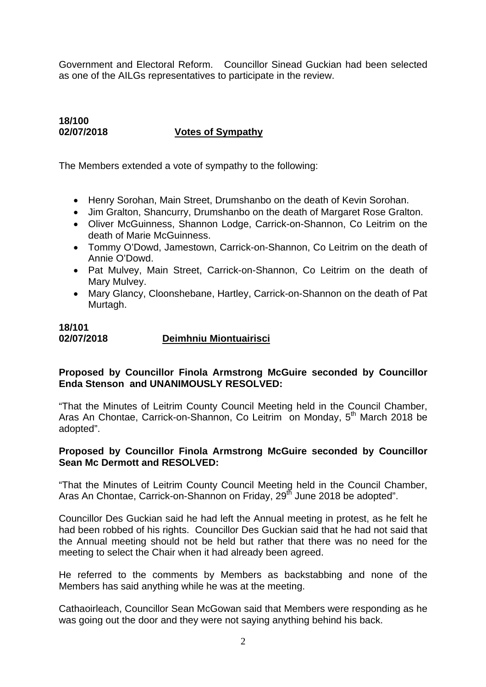Government and Electoral Reform. Councillor Sinead Guckian had been selected as one of the AILGs representatives to participate in the review.

# **18/100 02/07/2018 Votes of Sympathy**

The Members extended a vote of sympathy to the following:

- Henry Sorohan, Main Street, Drumshanbo on the death of Kevin Sorohan.
- Jim Gralton, Shancurry, Drumshanbo on the death of Margaret Rose Gralton.
- Oliver McGuinness, Shannon Lodge, Carrick-on-Shannon, Co Leitrim on the death of Marie McGuinness.
- Tommy O'Dowd, Jamestown, Carrick-on-Shannon, Co Leitrim on the death of Annie O'Dowd.
- Pat Mulvey, Main Street, Carrick-on-Shannon, Co Leitrim on the death of Mary Mulvey.
- Mary Glancy, Cloonshebane, Hartley, Carrick-on-Shannon on the death of Pat Murtagh.

# **18/101 02/07/2018 Deimhniu Miontuairisci**

# **Proposed by Councillor Finola Armstrong McGuire seconded by Councillor Enda Stenson and UNANIMOUSLY RESOLVED:**

"That the Minutes of Leitrim County Council Meeting held in the Council Chamber, Aras An Chontae, Carrick-on-Shannon, Co Leitrim on Monday, 5<sup>th</sup> March 2018 be adopted".

#### **Proposed by Councillor Finola Armstrong McGuire seconded by Councillor Sean Mc Dermott and RESOLVED:**

"That the Minutes of Leitrim County Council Meeting held in the Council Chamber, Aras An Chontae, Carrick-on-Shannon on Friday, 29<sup>th</sup> June 2018 be adopted".

Councillor Des Guckian said he had left the Annual meeting in protest, as he felt he had been robbed of his rights. Councillor Des Guckian said that he had not said that the Annual meeting should not be held but rather that there was no need for the meeting to select the Chair when it had already been agreed.

He referred to the comments by Members as backstabbing and none of the Members has said anything while he was at the meeting.

Cathaoirleach, Councillor Sean McGowan said that Members were responding as he was going out the door and they were not saying anything behind his back.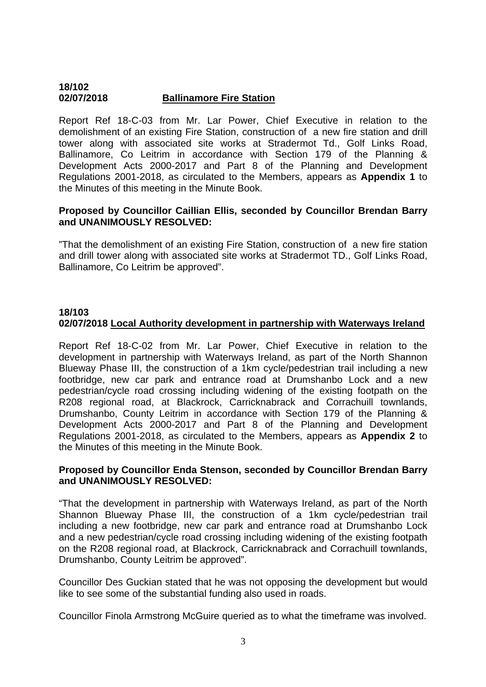#### **18/102 02/07/2018 Ballinamore Fire Station**

Report Ref 18-C-03 from Mr. Lar Power, Chief Executive in relation to the demolishment of an existing Fire Station, construction of a new fire station and drill tower along with associated site works at Stradermot Td., Golf Links Road, Ballinamore, Co Leitrim in accordance with Section 179 of the Planning & Development Acts 2000-2017 and Part 8 of the Planning and Development Regulations 2001-2018, as circulated to the Members, appears as **Appendix 1** to the Minutes of this meeting in the Minute Book.

#### **Proposed by Councillor Caillian Ellis, seconded by Councillor Brendan Barry and UNANIMOUSLY RESOLVED:**

"That the demolishment of an existing Fire Station, construction of a new fire station and drill tower along with associated site works at Stradermot TD., Golf Links Road, Ballinamore, Co Leitrim be approved".

#### **18/103 02/07/2018 Local Authority development in partnership with Waterways Ireland**

Report Ref 18-C-02 from Mr. Lar Power, Chief Executive in relation to the development in partnership with Waterways Ireland, as part of the North Shannon Blueway Phase III, the construction of a 1km cycle/pedestrian trail including a new footbridge, new car park and entrance road at Drumshanbo Lock and a new pedestrian/cycle road crossing including widening of the existing footpath on the R208 regional road, at Blackrock, Carricknabrack and Corrachuill townlands, Drumshanbo, County Leitrim in accordance with Section 179 of the Planning & Development Acts 2000-2017 and Part 8 of the Planning and Development Regulations 2001-2018, as circulated to the Members, appears as **Appendix 2** to the Minutes of this meeting in the Minute Book.

#### **Proposed by Councillor Enda Stenson, seconded by Councillor Brendan Barry and UNANIMOUSLY RESOLVED:**

"That the development in partnership with Waterways Ireland, as part of the North Shannon Blueway Phase III, the construction of a 1km cycle/pedestrian trail including a new footbridge, new car park and entrance road at Drumshanbo Lock and a new pedestrian/cycle road crossing including widening of the existing footpath on the R208 regional road, at Blackrock, Carricknabrack and Corrachuill townlands, Drumshanbo, County Leitrim be approved".

Councillor Des Guckian stated that he was not opposing the development but would like to see some of the substantial funding also used in roads.

Councillor Finola Armstrong McGuire queried as to what the timeframe was involved.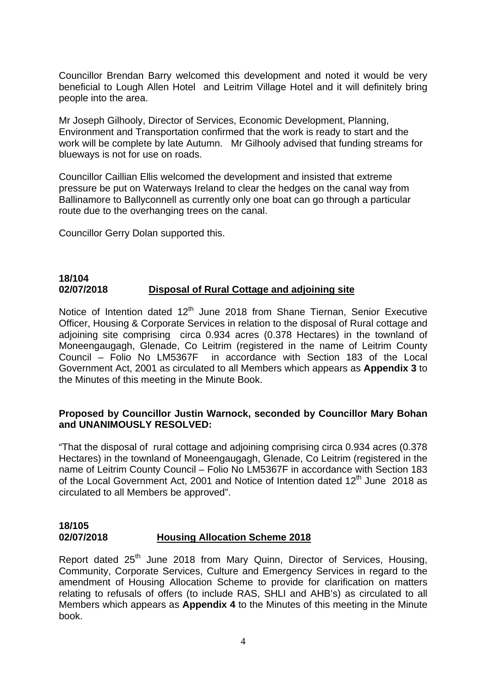Councillor Brendan Barry welcomed this development and noted it would be very beneficial to Lough Allen Hotel and Leitrim Village Hotel and it will definitely bring people into the area.

Mr Joseph Gilhooly, Director of Services, Economic Development, Planning, Environment and Transportation confirmed that the work is ready to start and the work will be complete by late Autumn. Mr Gilhooly advised that funding streams for blueways is not for use on roads.

Councillor Caillian Ellis welcomed the development and insisted that extreme pressure be put on Waterways Ireland to clear the hedges on the canal way from Ballinamore to Ballyconnell as currently only one boat can go through a particular route due to the overhanging trees on the canal.

Councillor Gerry Dolan supported this.

#### **18/104 02/07/2018 Disposal of Rural Cottage and adjoining site**

Notice of Intention dated 12<sup>th</sup> June 2018 from Shane Tiernan, Senior Executive Officer, Housing & Corporate Services in relation to the disposal of Rural cottage and adjoining site comprising circa 0.934 acres (0.378 Hectares) in the townland of Moneengaugagh, Glenade, Co Leitrim (registered in the name of Leitrim County Council – Folio No LM5367F in accordance with Section 183 of the Local Government Act, 2001 as circulated to all Members which appears as **Appendix 3** to the Minutes of this meeting in the Minute Book.

#### **Proposed by Councillor Justin Warnock, seconded by Councillor Mary Bohan and UNANIMOUSLY RESOLVED:**

"That the disposal of rural cottage and adjoining comprising circa 0.934 acres (0.378 Hectares) in the townland of Moneengaugagh, Glenade, Co Leitrim (registered in the name of Leitrim County Council – Folio No LM5367F in accordance with Section 183 of the Local Government Act, 2001 and Notice of Intention dated  $12<sup>th</sup>$  June 2018 as circulated to all Members be approved".

# **18/105 02/07/2018 Housing Allocation Scheme 2018**

Report dated 25<sup>th</sup> June 2018 from Mary Quinn, Director of Services, Housing, Community, Corporate Services, Culture and Emergency Services in regard to the amendment of Housing Allocation Scheme to provide for clarification on matters relating to refusals of offers (to include RAS, SHLI and AHB's) as circulated to all Members which appears as **Appendix 4** to the Minutes of this meeting in the Minute book.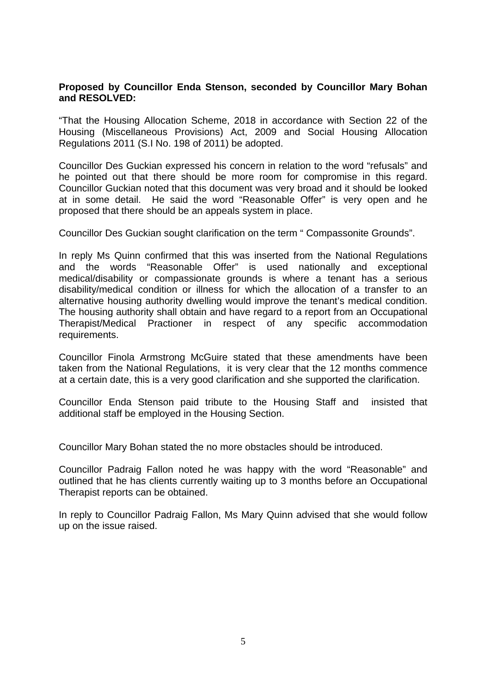#### **Proposed by Councillor Enda Stenson, seconded by Councillor Mary Bohan and RESOLVED:**

"That the Housing Allocation Scheme, 2018 in accordance with Section 22 of the Housing (Miscellaneous Provisions) Act, 2009 and Social Housing Allocation Regulations 2011 (S.I No. 198 of 2011) be adopted.

Councillor Des Guckian expressed his concern in relation to the word "refusals" and he pointed out that there should be more room for compromise in this regard. Councillor Guckian noted that this document was very broad and it should be looked at in some detail. He said the word "Reasonable Offer" is very open and he proposed that there should be an appeals system in place.

Councillor Des Guckian sought clarification on the term " Compassonite Grounds".

In reply Ms Quinn confirmed that this was inserted from the National Regulations and the words "Reasonable Offer" is used nationally and exceptional medical/disability or compassionate grounds is where a tenant has a serious disability/medical condition or illness for which the allocation of a transfer to an alternative housing authority dwelling would improve the tenant's medical condition. The housing authority shall obtain and have regard to a report from an Occupational Therapist/Medical Practioner in respect of any specific accommodation requirements.

Councillor Finola Armstrong McGuire stated that these amendments have been taken from the National Regulations, it is very clear that the 12 months commence at a certain date, this is a very good clarification and she supported the clarification.

Councillor Enda Stenson paid tribute to the Housing Staff and insisted that additional staff be employed in the Housing Section.

Councillor Mary Bohan stated the no more obstacles should be introduced.

Councillor Padraig Fallon noted he was happy with the word "Reasonable" and outlined that he has clients currently waiting up to 3 months before an Occupational Therapist reports can be obtained.

In reply to Councillor Padraig Fallon, Ms Mary Quinn advised that she would follow up on the issue raised.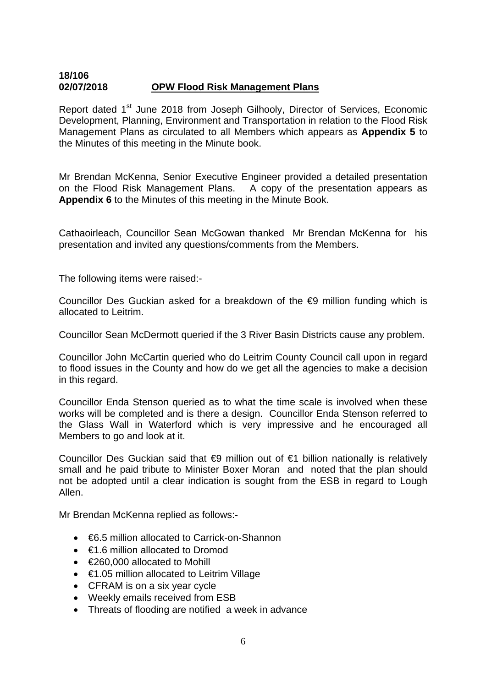#### **18/106 02/07/2018 OPW Flood Risk Management Plans**

Report dated 1<sup>st</sup> June 2018 from Joseph Gilhooly, Director of Services, Economic Development, Planning, Environment and Transportation in relation to the Flood Risk Management Plans as circulated to all Members which appears as **Appendix 5** to the Minutes of this meeting in the Minute book.

Mr Brendan McKenna, Senior Executive Engineer provided a detailed presentation on the Flood Risk Management Plans. A copy of the presentation appears as **Appendix 6** to the Minutes of this meeting in the Minute Book.

Cathaoirleach, Councillor Sean McGowan thanked Mr Brendan McKenna for his presentation and invited any questions/comments from the Members.

The following items were raised:-

Councillor Des Guckian asked for a breakdown of the €9 million funding which is allocated to Leitrim.

Councillor Sean McDermott queried if the 3 River Basin Districts cause any problem.

Councillor John McCartin queried who do Leitrim County Council call upon in regard to flood issues in the County and how do we get all the agencies to make a decision in this regard.

Councillor Enda Stenson queried as to what the time scale is involved when these works will be completed and is there a design. Councillor Enda Stenson referred to the Glass Wall in Waterford which is very impressive and he encouraged all Members to go and look at it.

Councillor Des Guckian said that €9 million out of €1 billion nationally is relatively small and he paid tribute to Minister Boxer Moran and noted that the plan should not be adopted until a clear indication is sought from the ESB in regard to Lough Allen.

Mr Brendan McKenna replied as follows:-

- €6.5 million allocated to Carrick-on-Shannon
- $\bullet\quad$   $\in$ 1.6 million allocated to Dromod
- €260,000 allocated to Mohill
- €1.05 million allocated to Leitrim Village
- CFRAM is on a six year cycle
- Weekly emails received from ESB
- Threats of flooding are notified a week in advance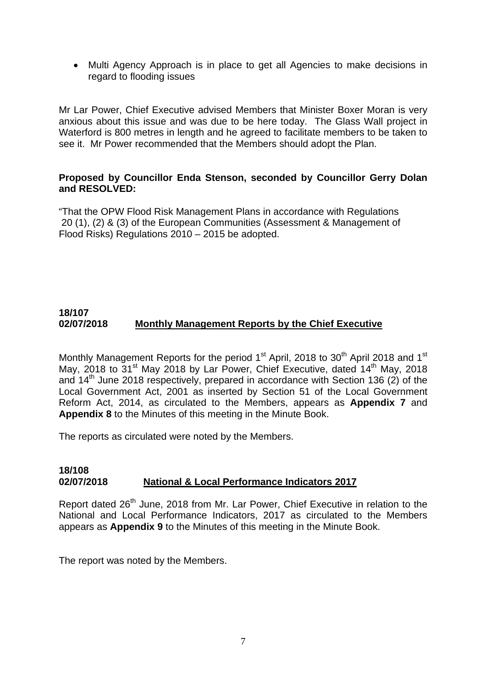• Multi Agency Approach is in place to get all Agencies to make decisions in regard to flooding issues

Mr Lar Power, Chief Executive advised Members that Minister Boxer Moran is very anxious about this issue and was due to be here today. The Glass Wall project in Waterford is 800 metres in length and he agreed to facilitate members to be taken to see it. Mr Power recommended that the Members should adopt the Plan.

## **Proposed by Councillor Enda Stenson, seconded by Councillor Gerry Dolan and RESOLVED:**

"That the OPW Flood Risk Management Plans in accordance with Regulations 20 (1), (2) & (3) of the European Communities (Assessment & Management of Flood Risks) Regulations 2010 – 2015 be adopted.

# **18/107 02/07/2018 Monthly Management Reports by the Chief Executive**

Monthly Management Reports for the period 1<sup>st</sup> April, 2018 to 30<sup>th</sup> April 2018 and 1<sup>st</sup> May, 2018 to 31<sup>st</sup> May 2018 by Lar Power, Chief Executive, dated 14<sup>th</sup> May, 2018 and 14th June 2018 respectively, prepared in accordance with Section 136 (2) of the Local Government Act, 2001 as inserted by Section 51 of the Local Government Reform Act, 2014, as circulated to the Members, appears as **Appendix 7** and **Appendix 8** to the Minutes of this meeting in the Minute Book.

The reports as circulated were noted by the Members.

#### **18/108 02/07/2018 National & Local Performance Indicators 2017**

Report dated 26<sup>th</sup> June, 2018 from Mr. Lar Power, Chief Executive in relation to the National and Local Performance Indicators, 2017 as circulated to the Members appears as **Appendix 9** to the Minutes of this meeting in the Minute Book.

The report was noted by the Members.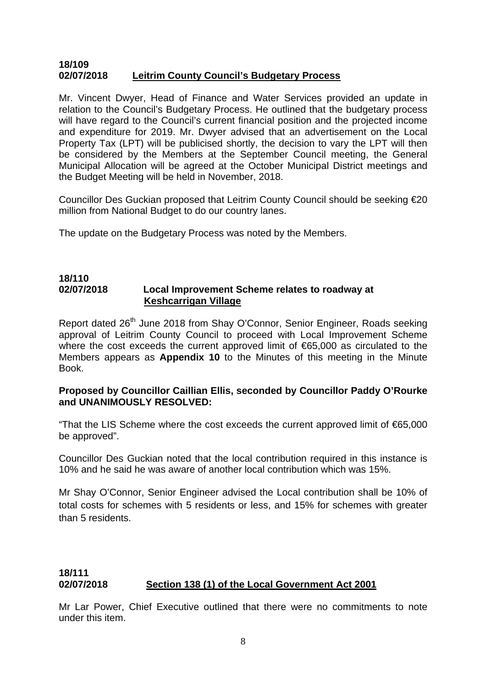#### **18/109 02/07/2018 Leitrim County Council's Budgetary Process**

Mr. Vincent Dwyer, Head of Finance and Water Services provided an update in relation to the Council's Budgetary Process. He outlined that the budgetary process will have regard to the Council's current financial position and the projected income and expenditure for 2019. Mr. Dwyer advised that an advertisement on the Local Property Tax (LPT) will be publicised shortly, the decision to vary the LPT will then be considered by the Members at the September Council meeting, the General Municipal Allocation will be agreed at the October Municipal District meetings and the Budget Meeting will be held in November, 2018.

Councillor Des Guckian proposed that Leitrim County Council should be seeking €20 million from National Budget to do our country lanes.

The update on the Budgetary Process was noted by the Members.

#### **18/110 02/07/2018 Local Improvement Scheme relates to roadway at Keshcarrigan Village**

Report dated 26<sup>th</sup> June 2018 from Shay O'Connor, Senior Engineer, Roads seeking approval of Leitrim County Council to proceed with Local Improvement Scheme where the cost exceeds the current approved limit of €65,000 as circulated to the Members appears as **Appendix 10** to the Minutes of this meeting in the Minute Book.

#### **Proposed by Councillor Caillian Ellis, seconded by Councillor Paddy O'Rourke and UNANIMOUSLY RESOLVED:**

"That the LIS Scheme where the cost exceeds the current approved limit of €65,000 be approved".

Councillor Des Guckian noted that the local contribution required in this instance is 10% and he said he was aware of another local contribution which was 15%.

Mr Shay O'Connor, Senior Engineer advised the Local contribution shall be 10% of total costs for schemes with 5 residents or less, and 15% for schemes with greater than 5 residents.

# **18/111 02/07/2018 Section 138 (1) of the Local Government Act 2001**

Mr Lar Power, Chief Executive outlined that there were no commitments to note under this item.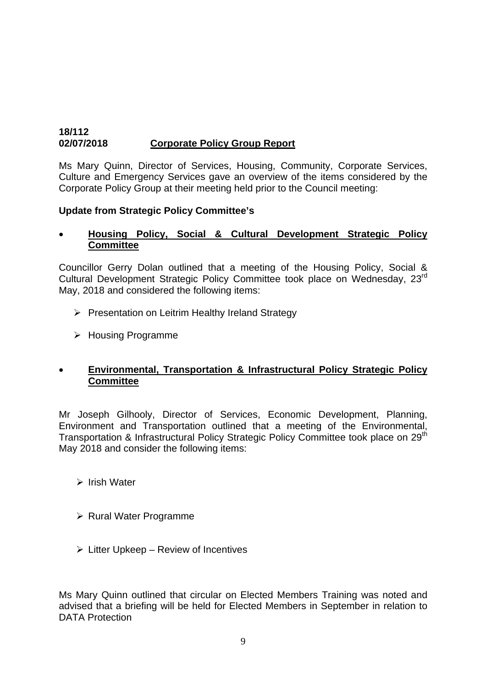## **18/112 02/07/2018 Corporate Policy Group Report**

Ms Mary Quinn, Director of Services, Housing, Community, Corporate Services, Culture and Emergency Services gave an overview of the items considered by the Corporate Policy Group at their meeting held prior to the Council meeting:

# **Update from Strategic Policy Committee's**

## • **Housing Policy, Social & Cultural Development Strategic Policy Committee**

Councillor Gerry Dolan outlined that a meeting of the Housing Policy, Social & Cultural Development Strategic Policy Committee took place on Wednesday, 23rd May, 2018 and considered the following items:

- ¾ Presentation on Leitrim Healthy Ireland Strategy
- ¾ Housing Programme

# • **Environmental, Transportation & Infrastructural Policy Strategic Policy Committee**

Mr Joseph Gilhooly, Director of Services, Economic Development, Planning, Environment and Transportation outlined that a meeting of the Environmental, Transportation & Infrastructural Policy Strategic Policy Committee took place on 29<sup>th</sup> May 2018 and consider the following items:

- $\triangleright$  Irish Water
- ¾ Rural Water Programme
- $\triangleright$  Litter Upkeep Review of Incentives

Ms Mary Quinn outlined that circular on Elected Members Training was noted and advised that a briefing will be held for Elected Members in September in relation to DATA Protection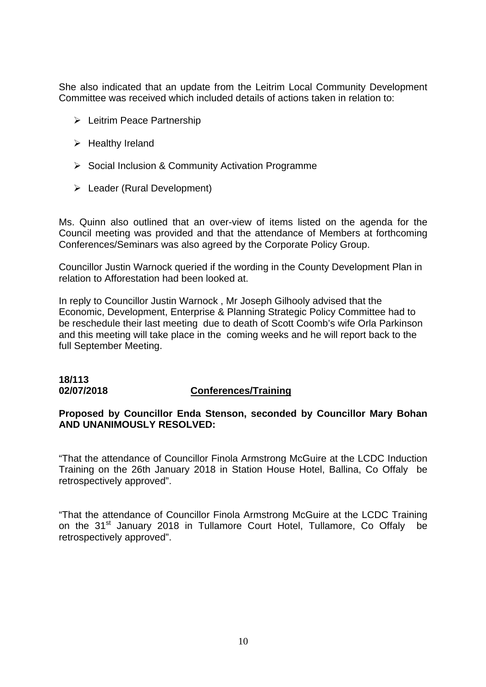She also indicated that an update from the Leitrim Local Community Development Committee was received which included details of actions taken in relation to:

- ¾ Leitrim Peace Partnership
- $\triangleright$  Healthy Ireland
- ¾ Social Inclusion & Community Activation Programme
- $\triangleright$  Leader (Rural Development)

Ms. Quinn also outlined that an over-view of items listed on the agenda for the Council meeting was provided and that the attendance of Members at forthcoming Conferences/Seminars was also agreed by the Corporate Policy Group.

Councillor Justin Warnock queried if the wording in the County Development Plan in relation to Afforestation had been looked at.

In reply to Councillor Justin Warnock , Mr Joseph Gilhooly advised that the Economic, Development, Enterprise & Planning Strategic Policy Committee had to be reschedule their last meeting due to death of Scott Coomb's wife Orla Parkinson and this meeting will take place in the coming weeks and he will report back to the full September Meeting.

# **18/113**

#### **02/07/2018 Conferences/Training**

# **Proposed by Councillor Enda Stenson, seconded by Councillor Mary Bohan AND UNANIMOUSLY RESOLVED:**

"That the attendance of Councillor Finola Armstrong McGuire at the LCDC Induction Training on the 26th January 2018 in Station House Hotel, Ballina, Co Offaly be retrospectively approved".

"That the attendance of Councillor Finola Armstrong McGuire at the LCDC Training on the 31<sup>st</sup> January 2018 in Tullamore Court Hotel, Tullamore, Co Offaly be retrospectively approved".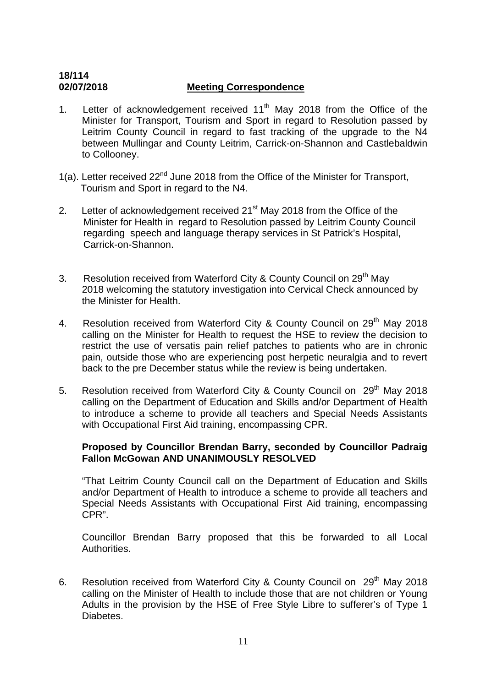# **18/114 02/07/2018 Meeting Correspondence**

- 1. Letter of acknowledgement received  $11<sup>th</sup>$  May 2018 from the Office of the Minister for Transport, Tourism and Sport in regard to Resolution passed by Leitrim County Council in regard to fast tracking of the upgrade to the N4 between Mullingar and County Leitrim, Carrick-on-Shannon and Castlebaldwin to Collooney.
- 1(a). Letter received 22<sup>nd</sup> June 2018 from the Office of the Minister for Transport, Tourism and Sport in regard to the N4.
- 2. Letter of acknowledgement received  $21<sup>st</sup>$  May 2018 from the Office of the Minister for Health in regard to Resolution passed by Leitrim County Council regarding speech and language therapy services in St Patrick's Hospital, Carrick-on-Shannon.
- 3. Resolution received from Waterford City & County Council on 29<sup>th</sup> May 2018 welcoming the statutory investigation into Cervical Check announced by the Minister for Health.
- 4. Resolution received from Waterford City & County Council on 29<sup>th</sup> May 2018 calling on the Minister for Health to request the HSE to review the decision to restrict the use of versatis pain relief patches to patients who are in chronic pain, outside those who are experiencing post herpetic neuralgia and to revert back to the pre December status while the review is being undertaken.
- 5. Resolution received from Waterford City & County Council on 29<sup>th</sup> May 2018 calling on the Department of Education and Skills and/or Department of Health to introduce a scheme to provide all teachers and Special Needs Assistants with Occupational First Aid training, encompassing CPR.

# **Proposed by Councillor Brendan Barry, seconded by Councillor Padraig Fallon McGowan AND UNANIMOUSLY RESOLVED**

"That Leitrim County Council call on the Department of Education and Skills and/or Department of Health to introduce a scheme to provide all teachers and Special Needs Assistants with Occupational First Aid training, encompassing CPR".

Councillor Brendan Barry proposed that this be forwarded to all Local Authorities.

6. Resolution received from Waterford City & County Council on 29<sup>th</sup> May 2018 calling on the Minister of Health to include those that are not children or Young Adults in the provision by the HSE of Free Style Libre to sufferer's of Type 1 Diabetes.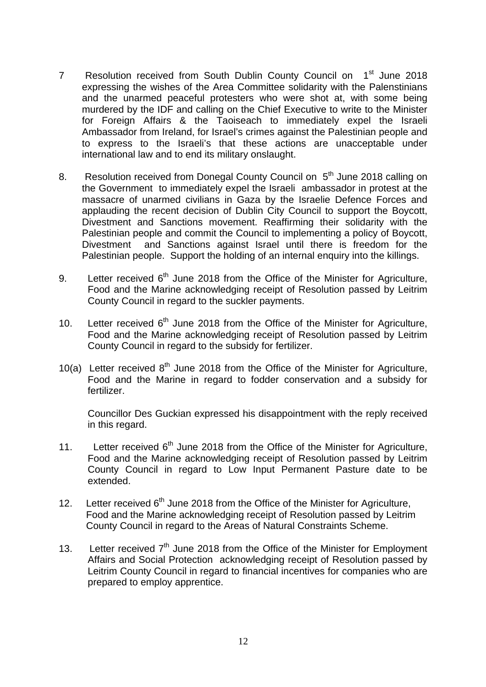- 7 Resolution received from South Dublin County Council on 1<sup>st</sup> June 2018 expressing the wishes of the Area Committee solidarity with the Palenstinians and the unarmed peaceful protesters who were shot at, with some being murdered by the IDF and calling on the Chief Executive to write to the Minister for Foreign Affairs & the Taoiseach to immediately expel the Israeli Ambassador from Ireland, for Israel's crimes against the Palestinian people and to express to the Israeli's that these actions are unacceptable under international law and to end its military onslaught.
- 8. Resolution received from Donegal County Council on 5<sup>th</sup> June 2018 calling on the Government to immediately expel the Israeli ambassador in protest at the massacre of unarmed civilians in Gaza by the Israelie Defence Forces and applauding the recent decision of Dublin City Council to support the Boycott, Divestment and Sanctions movement. Reaffirming their solidarity with the Palestinian people and commit the Council to implementing a policy of Boycott, Divestment and Sanctions against Israel until there is freedom for the Palestinian people. Support the holding of an internal enquiry into the killings.
- 9. Letter received  $6<sup>th</sup>$  June 2018 from the Office of the Minister for Agriculture, Food and the Marine acknowledging receipt of Resolution passed by Leitrim County Council in regard to the suckler payments.
- 10. Letter received  $6<sup>th</sup>$  June 2018 from the Office of the Minister for Agriculture, Food and the Marine acknowledging receipt of Resolution passed by Leitrim County Council in regard to the subsidy for fertilizer.
- 10(a) Letter received  $8<sup>th</sup>$  June 2018 from the Office of the Minister for Agriculture, Food and the Marine in regard to fodder conservation and a subsidy for fertilizer.

Councillor Des Guckian expressed his disappointment with the reply received in this regard.

- 11. Letter received  $6<sup>th</sup>$  June 2018 from the Office of the Minister for Agriculture, Food and the Marine acknowledging receipt of Resolution passed by Leitrim County Council in regard to Low Input Permanent Pasture date to be extended.
- 12. Letter received  $6<sup>th</sup>$  June 2018 from the Office of the Minister for Agriculture, Food and the Marine acknowledging receipt of Resolution passed by Leitrim County Council in regard to the Areas of Natural Constraints Scheme.
- 13. Letter received  $7<sup>th</sup>$  June 2018 from the Office of the Minister for Employment Affairs and Social Protection acknowledging receipt of Resolution passed by Leitrim County Council in regard to financial incentives for companies who are prepared to employ apprentice.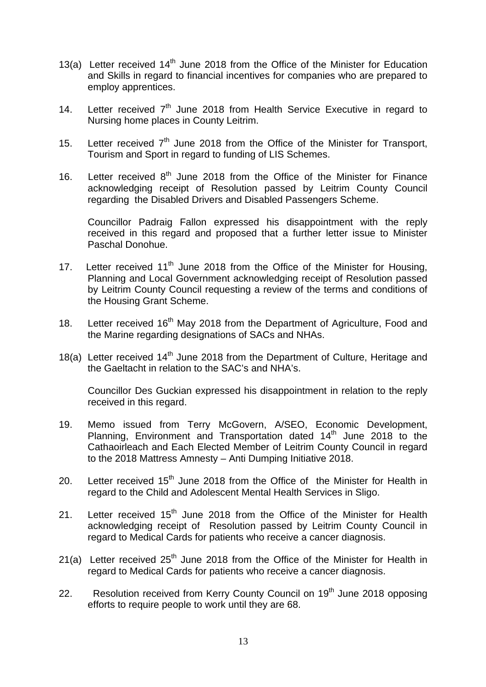- 13(a) Letter received  $14<sup>th</sup>$  June 2018 from the Office of the Minister for Education and Skills in regard to financial incentives for companies who are prepared to employ apprentices.
- 14. Letter received  $7<sup>th</sup>$  June 2018 from Health Service Executive in regard to Nursing home places in County Leitrim.
- 15. Letter received  $7<sup>th</sup>$  June 2018 from the Office of the Minister for Transport, Tourism and Sport in regard to funding of LIS Schemes.
- 16. Letter received  $8<sup>th</sup>$  June 2018 from the Office of the Minister for Finance acknowledging receipt of Resolution passed by Leitrim County Council regarding the Disabled Drivers and Disabled Passengers Scheme.

Councillor Padraig Fallon expressed his disappointment with the reply received in this regard and proposed that a further letter issue to Minister Paschal Donohue.

- 17. Letter received  $11<sup>th</sup>$  June 2018 from the Office of the Minister for Housing, Planning and Local Government acknowledging receipt of Resolution passed by Leitrim County Council requesting a review of the terms and conditions of the Housing Grant Scheme.
- 18. Letter received 16<sup>th</sup> May 2018 from the Department of Agriculture, Food and the Marine regarding designations of SACs and NHAs.
- 18(a) Letter received 14<sup>th</sup> June 2018 from the Department of Culture, Heritage and the Gaeltacht in relation to the SAC's and NHA's.

Councillor Des Guckian expressed his disappointment in relation to the reply received in this regard.

- 19. Memo issued from Terry McGovern, A/SEO, Economic Development, Planning, Environment and Transportation dated 14th June 2018 to the Cathaoirleach and Each Elected Member of Leitrim County Council in regard to the 2018 Mattress Amnesty – Anti Dumping Initiative 2018.
- 20. Letter received  $15<sup>th</sup>$  June 2018 from the Office of the Minister for Health in regard to the Child and Adolescent Mental Health Services in Sligo.
- 21. Letter received  $15<sup>th</sup>$  June 2018 from the Office of the Minister for Health acknowledging receipt of Resolution passed by Leitrim County Council in regard to Medical Cards for patients who receive a cancer diagnosis.
- 21(a) Letter received  $25<sup>th</sup>$  June 2018 from the Office of the Minister for Health in regard to Medical Cards for patients who receive a cancer diagnosis.
- 22. Resolution received from Kerry County Council on 19<sup>th</sup> June 2018 opposing efforts to require people to work until they are 68.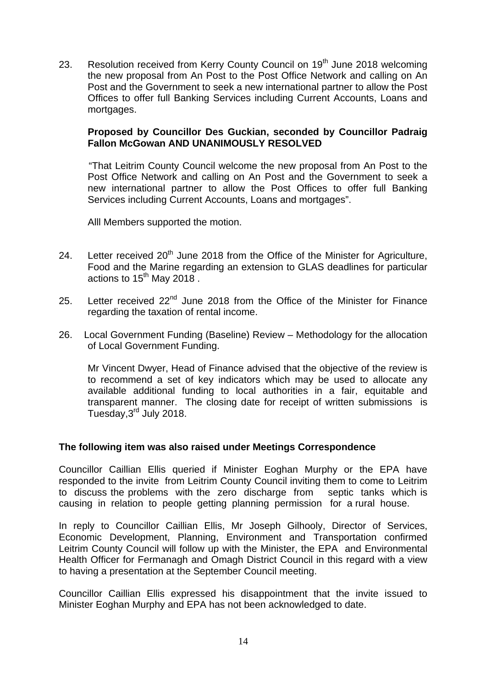23. Resolution received from Kerry County Council on 19<sup>th</sup> June 2018 welcoming the new proposal from An Post to the Post Office Network and calling on An Post and the Government to seek a new international partner to allow the Post Offices to offer full Banking Services including Current Accounts, Loans and mortgages.

## **Proposed by Councillor Des Guckian, seconded by Councillor Padraig Fallon McGowan AND UNANIMOUSLY RESOLVED**

 "That Leitrim County Council welcome the new proposal from An Post to the Post Office Network and calling on An Post and the Government to seek a new international partner to allow the Post Offices to offer full Banking Services including Current Accounts, Loans and mortgages".

Alll Members supported the motion.

- 24. Letter received 20<sup>th</sup> June 2018 from the Office of the Minister for Agriculture, Food and the Marine regarding an extension to GLAS deadlines for particular actions to  $15^{th}$  May 2018.
- 25. Letter received  $22^{nd}$  June 2018 from the Office of the Minister for Finance regarding the taxation of rental income.
- 26. Local Government Funding (Baseline) Review Methodology for the allocation of Local Government Funding.

Mr Vincent Dwyer, Head of Finance advised that the objective of the review is to recommend a set of key indicators which may be used to allocate any available additional funding to local authorities in a fair, equitable and transparent manner. The closing date for receipt of written submissions is Tuesday,3rd July 2018.

#### **The following item was also raised under Meetings Correspondence**

Councillor Caillian Ellis queried if Minister Eoghan Murphy or the EPA have responded to the invite from Leitrim County Council inviting them to come to Leitrim to discuss the problems with the zero discharge from septic tanks which is causing in relation to people getting planning permission for a rural house.

In reply to Councillor Caillian Ellis, Mr Joseph Gilhooly, Director of Services, Economic Development, Planning, Environment and Transportation confirmed Leitrim County Council will follow up with the Minister, the EPA and Environmental Health Officer for Fermanagh and Omagh District Council in this regard with a view to having a presentation at the September Council meeting.

Councillor Caillian Ellis expressed his disappointment that the invite issued to Minister Eoghan Murphy and EPA has not been acknowledged to date.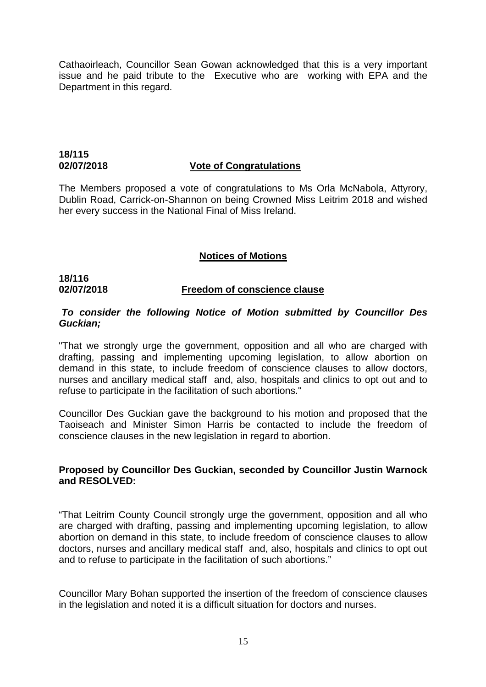Cathaoirleach, Councillor Sean Gowan acknowledged that this is a very important issue and he paid tribute to the Executive who are working with EPA and the Department in this regard.

# **18/115**

#### **02/07/2018 Vote of Congratulations**

The Members proposed a vote of congratulations to Ms Orla McNabola, Attyrory, Dublin Road, Carrick-on-Shannon on being Crowned Miss Leitrim 2018 and wished her every success in the National Final of Miss Ireland.

# **Notices of Motions**

# **18/116**

#### **02/07/2018 Freedom of conscience clause**

#### *To consider the following Notice of Motion submitted by Councillor Des Guckian;*

"That we strongly urge the government, opposition and all who are charged with drafting, passing and implementing upcoming legislation, to allow abortion on demand in this state, to include freedom of conscience clauses to allow doctors, nurses and ancillary medical staff and, also, hospitals and clinics to opt out and to refuse to participate in the facilitation of such abortions."

Councillor Des Guckian gave the background to his motion and proposed that the Taoiseach and Minister Simon Harris be contacted to include the freedom of conscience clauses in the new legislation in regard to abortion.

#### **Proposed by Councillor Des Guckian, seconded by Councillor Justin Warnock and RESOLVED:**

"That Leitrim County Council strongly urge the government, opposition and all who are charged with drafting, passing and implementing upcoming legislation, to allow abortion on demand in this state, to include freedom of conscience clauses to allow doctors, nurses and ancillary medical staff and, also, hospitals and clinics to opt out and to refuse to participate in the facilitation of such abortions."

Councillor Mary Bohan supported the insertion of the freedom of conscience clauses in the legislation and noted it is a difficult situation for doctors and nurses.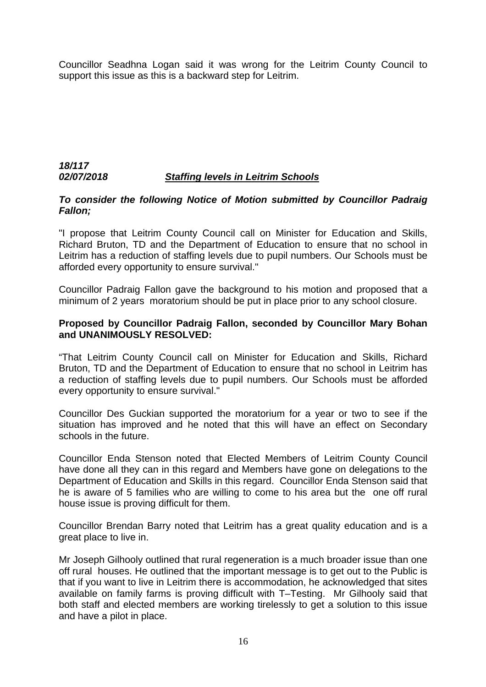Councillor Seadhna Logan said it was wrong for the Leitrim County Council to support this issue as this is a backward step for Leitrim.

## *18/117 02/07/2018 Staffing levels in Leitrim Schools*

#### *To consider the following Notice of Motion submitted by Councillor Padraig Fallon;*

"I propose that Leitrim County Council call on Minister for Education and Skills, Richard Bruton, TD and the Department of Education to ensure that no school in Leitrim has a reduction of staffing levels due to pupil numbers. Our Schools must be afforded every opportunity to ensure survival."

Councillor Padraig Fallon gave the background to his motion and proposed that a minimum of 2 years moratorium should be put in place prior to any school closure.

#### **Proposed by Councillor Padraig Fallon, seconded by Councillor Mary Bohan and UNANIMOUSLY RESOLVED:**

"That Leitrim County Council call on Minister for Education and Skills, Richard Bruton, TD and the Department of Education to ensure that no school in Leitrim has a reduction of staffing levels due to pupil numbers. Our Schools must be afforded every opportunity to ensure survival."

Councillor Des Guckian supported the moratorium for a year or two to see if the situation has improved and he noted that this will have an effect on Secondary schools in the future.

Councillor Enda Stenson noted that Elected Members of Leitrim County Council have done all they can in this regard and Members have gone on delegations to the Department of Education and Skills in this regard. Councillor Enda Stenson said that he is aware of 5 families who are willing to come to his area but the one off rural house issue is proving difficult for them.

Councillor Brendan Barry noted that Leitrim has a great quality education and is a great place to live in.

Mr Joseph Gilhooly outlined that rural regeneration is a much broader issue than one off rural houses. He outlined that the important message is to get out to the Public is that if you want to live in Leitrim there is accommodation, he acknowledged that sites available on family farms is proving difficult with T–Testing. Mr Gilhooly said that both staff and elected members are working tirelessly to get a solution to this issue and have a pilot in place.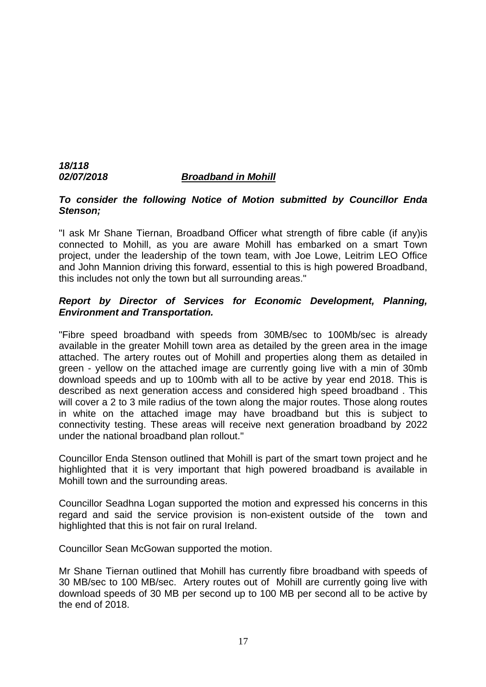# *18/118 02/07/2018 Broadband in Mohill*

#### *To consider the following Notice of Motion submitted by Councillor Enda Stenson;*

"I ask Mr Shane Tiernan, Broadband Officer what strength of fibre cable (if any)is connected to Mohill, as you are aware Mohill has embarked on a smart Town project, under the leadership of the town team, with Joe Lowe, Leitrim LEO Office and John Mannion driving this forward, essential to this is high powered Broadband, this includes not only the town but all surrounding areas."

# *Report by Director of Services for Economic Development, Planning, Environment and Transportation.*

"Fibre speed broadband with speeds from 30MB/sec to 100Mb/sec is already available in the greater Mohill town area as detailed by the green area in the image attached. The artery routes out of Mohill and properties along them as detailed in green - yellow on the attached image are currently going live with a min of 30mb download speeds and up to 100mb with all to be active by year end 2018. This is described as next generation access and considered high speed broadband . This will cover a 2 to 3 mile radius of the town along the major routes. Those along routes in white on the attached image may have broadband but this is subject to connectivity testing. These areas will receive next generation broadband by 2022 under the national broadband plan rollout."

Councillor Enda Stenson outlined that Mohill is part of the smart town project and he highlighted that it is very important that high powered broadband is available in Mohill town and the surrounding areas.

Councillor Seadhna Logan supported the motion and expressed his concerns in this regard and said the service provision is non-existent outside of the town and highlighted that this is not fair on rural Ireland.

Councillor Sean McGowan supported the motion.

Mr Shane Tiernan outlined that Mohill has currently fibre broadband with speeds of 30 MB/sec to 100 MB/sec. Artery routes out of Mohill are currently going live with download speeds of 30 MB per second up to 100 MB per second all to be active by the end of 2018.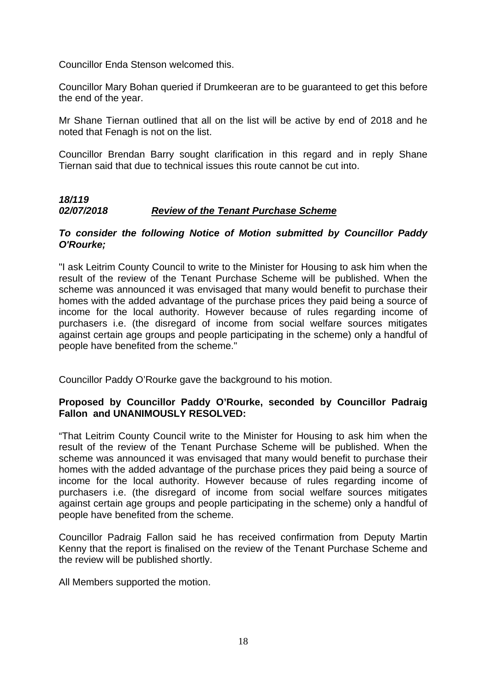Councillor Enda Stenson welcomed this.

Councillor Mary Bohan queried if Drumkeeran are to be guaranteed to get this before the end of the year.

Mr Shane Tiernan outlined that all on the list will be active by end of 2018 and he noted that Fenagh is not on the list.

Councillor Brendan Barry sought clarification in this regard and in reply Shane Tiernan said that due to technical issues this route cannot be cut into.

# *18/119 02/07/2018 Review of the Tenant Purchase Scheme*

#### *To consider the following Notice of Motion submitted by Councillor Paddy O'Rourke;*

"I ask Leitrim County Council to write to the Minister for Housing to ask him when the result of the review of the Tenant Purchase Scheme will be published. When the scheme was announced it was envisaged that many would benefit to purchase their homes with the added advantage of the purchase prices they paid being a source of income for the local authority. However because of rules regarding income of purchasers i.e. (the disregard of income from social welfare sources mitigates against certain age groups and people participating in the scheme) only a handful of people have benefited from the scheme."

Councillor Paddy O'Rourke gave the background to his motion.

#### **Proposed by Councillor Paddy O'Rourke, seconded by Councillor Padraig Fallon and UNANIMOUSLY RESOLVED:**

"That Leitrim County Council write to the Minister for Housing to ask him when the result of the review of the Tenant Purchase Scheme will be published. When the scheme was announced it was envisaged that many would benefit to purchase their homes with the added advantage of the purchase prices they paid being a source of income for the local authority. However because of rules regarding income of purchasers i.e. (the disregard of income from social welfare sources mitigates against certain age groups and people participating in the scheme) only a handful of people have benefited from the scheme.

Councillor Padraig Fallon said he has received confirmation from Deputy Martin Kenny that the report is finalised on the review of the Tenant Purchase Scheme and the review will be published shortly.

All Members supported the motion.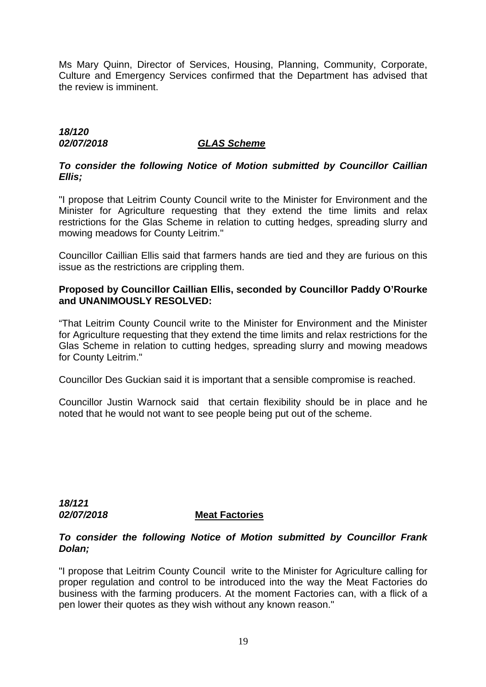Ms Mary Quinn, Director of Services, Housing, Planning, Community, Corporate, Culture and Emergency Services confirmed that the Department has advised that the review is imminent.

# *18/120 02/07/2018 GLAS Scheme*

# *To consider the following Notice of Motion submitted by Councillor Caillian Ellis;*

"I propose that Leitrim County Council write to the Minister for Environment and the Minister for Agriculture requesting that they extend the time limits and relax restrictions for the Glas Scheme in relation to cutting hedges, spreading slurry and mowing meadows for County Leitrim."

Councillor Caillian Ellis said that farmers hands are tied and they are furious on this issue as the restrictions are crippling them.

# **Proposed by Councillor Caillian Ellis, seconded by Councillor Paddy O'Rourke and UNANIMOUSLY RESOLVED:**

"That Leitrim County Council write to the Minister for Environment and the Minister for Agriculture requesting that they extend the time limits and relax restrictions for the Glas Scheme in relation to cutting hedges, spreading slurry and mowing meadows for County Leitrim."

Councillor Des Guckian said it is important that a sensible compromise is reached.

Councillor Justin Warnock said that certain flexibility should be in place and he noted that he would not want to see people being put out of the scheme.

*18/121* 

#### *02/07/2018* **Meat Factories**

#### *To consider the following Notice of Motion submitted by Councillor Frank Dolan;*

"I propose that Leitrim County Council write to the Minister for Agriculture calling for proper regulation and control to be introduced into the way the Meat Factories do business with the farming producers. At the moment Factories can, with a flick of a pen lower their quotes as they wish without any known reason."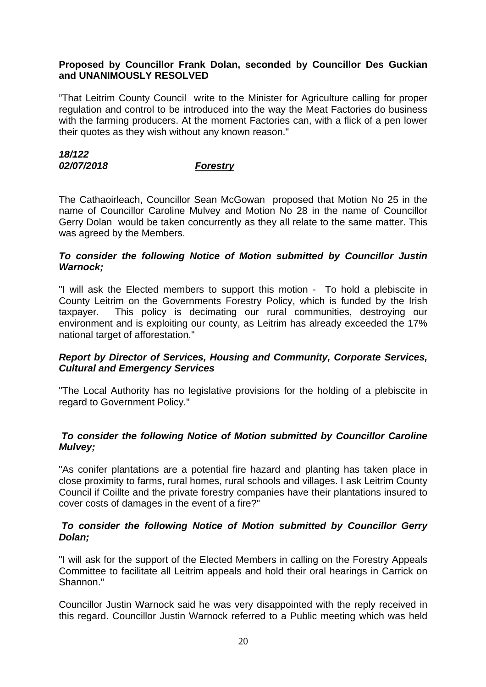#### **Proposed by Councillor Frank Dolan, seconded by Councillor Des Guckian and UNANIMOUSLY RESOLVED**

"That Leitrim County Council write to the Minister for Agriculture calling for proper regulation and control to be introduced into the way the Meat Factories do business with the farming producers. At the moment Factories can, with a flick of a pen lower their quotes as they wish without any known reason."

#### *18/122 02/07/2018 Forestry*

The Cathaoirleach, Councillor Sean McGowan proposed that Motion No 25 in the name of Councillor Caroline Mulvey and Motion No 28 in the name of Councillor Gerry Dolan would be taken concurrently as they all relate to the same matter. This was agreed by the Members.

#### *To consider the following Notice of Motion submitted by Councillor Justin Warnock;*

"I will ask the Elected members to support this motion - To hold a plebiscite in County Leitrim on the Governments Forestry Policy, which is funded by the Irish taxpayer. This policy is decimating our rural communities, destroying our environment and is exploiting our county, as Leitrim has already exceeded the 17% national target of afforestation."

#### *Report by Director of Services, Housing and Community, Corporate Services, Cultural and Emergency Services*

"The Local Authority has no legislative provisions for the holding of a plebiscite in regard to Government Policy."

# *To consider the following Notice of Motion submitted by Councillor Caroline Mulvey;*

"As conifer plantations are a potential fire hazard and planting has taken place in close proximity to farms, rural homes, rural schools and villages. I ask Leitrim County Council if Coillte and the private forestry companies have their plantations insured to cover costs of damages in the event of a fire?"

#### *To consider the following Notice of Motion submitted by Councillor Gerry Dolan;*

"I will ask for the support of the Elected Members in calling on the Forestry Appeals Committee to facilitate all Leitrim appeals and hold their oral hearings in Carrick on Shannon."

Councillor Justin Warnock said he was very disappointed with the reply received in this regard. Councillor Justin Warnock referred to a Public meeting which was held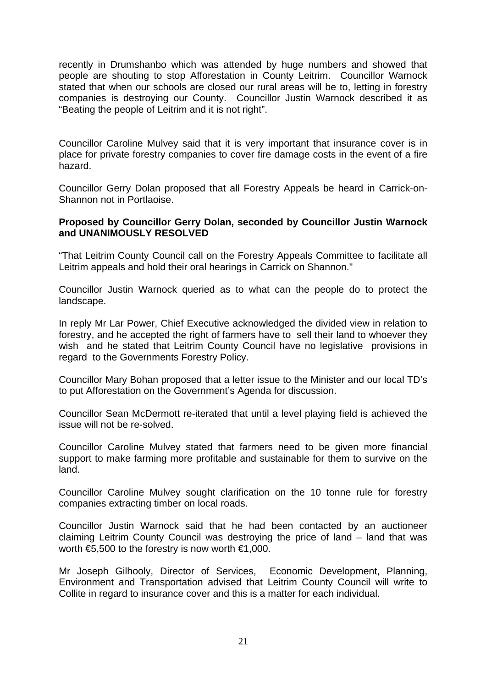recently in Drumshanbo which was attended by huge numbers and showed that people are shouting to stop Afforestation in County Leitrim. Councillor Warnock stated that when our schools are closed our rural areas will be to, letting in forestry companies is destroying our County. Councillor Justin Warnock described it as "Beating the people of Leitrim and it is not right".

Councillor Caroline Mulvey said that it is very important that insurance cover is in place for private forestry companies to cover fire damage costs in the event of a fire hazard.

Councillor Gerry Dolan proposed that all Forestry Appeals be heard in Carrick-on-Shannon not in Portlaoise.

#### **Proposed by Councillor Gerry Dolan, seconded by Councillor Justin Warnock and UNANIMOUSLY RESOLVED**

"That Leitrim County Council call on the Forestry Appeals Committee to facilitate all Leitrim appeals and hold their oral hearings in Carrick on Shannon."

Councillor Justin Warnock queried as to what can the people do to protect the landscape.

In reply Mr Lar Power, Chief Executive acknowledged the divided view in relation to forestry, and he accepted the right of farmers have to sell their land to whoever they wish and he stated that Leitrim County Council have no legislative provisions in regard to the Governments Forestry Policy.

Councillor Mary Bohan proposed that a letter issue to the Minister and our local TD's to put Afforestation on the Government's Agenda for discussion.

Councillor Sean McDermott re-iterated that until a level playing field is achieved the issue will not be re-solved.

Councillor Caroline Mulvey stated that farmers need to be given more financial support to make farming more profitable and sustainable for them to survive on the land.

Councillor Caroline Mulvey sought clarification on the 10 tonne rule for forestry companies extracting timber on local roads.

Councillor Justin Warnock said that he had been contacted by an auctioneer claiming Leitrim County Council was destroying the price of land – land that was worth  $\text{E}5,500$  to the forestry is now worth  $\text{E}1,000$ .

Mr Joseph Gilhooly, Director of Services, Economic Development, Planning, Environment and Transportation advised that Leitrim County Council will write to Collite in regard to insurance cover and this is a matter for each individual.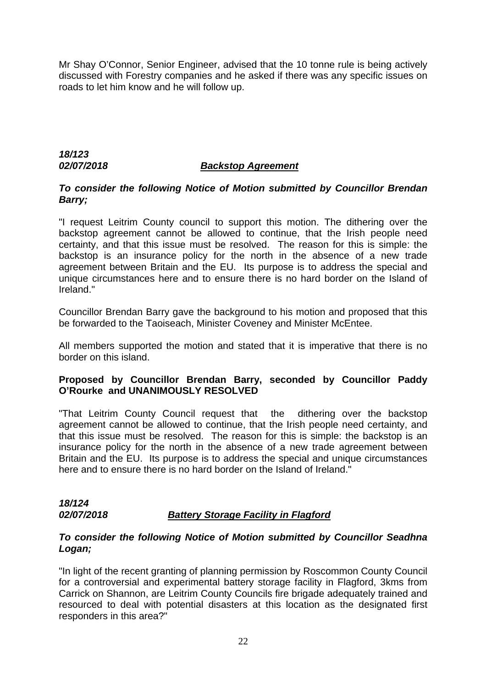Mr Shay O'Connor, Senior Engineer, advised that the 10 tonne rule is being actively discussed with Forestry companies and he asked if there was any specific issues on roads to let him know and he will follow up.

# *18/123*

## *02/07/2018 Backstop Agreement*

## *To consider the following Notice of Motion submitted by Councillor Brendan Barry;*

"I request Leitrim County council to support this motion. The dithering over the backstop agreement cannot be allowed to continue, that the Irish people need certainty, and that this issue must be resolved. The reason for this is simple: the backstop is an insurance policy for the north in the absence of a new trade agreement between Britain and the EU. Its purpose is to address the special and unique circumstances here and to ensure there is no hard border on the Island of Ireland."

Councillor Brendan Barry gave the background to his motion and proposed that this be forwarded to the Taoiseach, Minister Coveney and Minister McEntee.

All members supported the motion and stated that it is imperative that there is no border on this island.

# **Proposed by Councillor Brendan Barry, seconded by Councillor Paddy O'Rourke and UNANIMOUSLY RESOLVED**

"That Leitrim County Council request that the dithering over the backstop agreement cannot be allowed to continue, that the Irish people need certainty, and that this issue must be resolved. The reason for this is simple: the backstop is an insurance policy for the north in the absence of a new trade agreement between Britain and the EU. Its purpose is to address the special and unique circumstances here and to ensure there is no hard border on the Island of Ireland."

#### *18/124 02/07/2018 Battery Storage Facility in Flagford*

#### *To consider the following Notice of Motion submitted by Councillor Seadhna Logan;*

"In light of the recent granting of planning permission by Roscommon County Council for a controversial and experimental battery storage facility in Flagford, 3kms from Carrick on Shannon, are Leitrim County Councils fire brigade adequately trained and resourced to deal with potential disasters at this location as the designated first responders in this area?"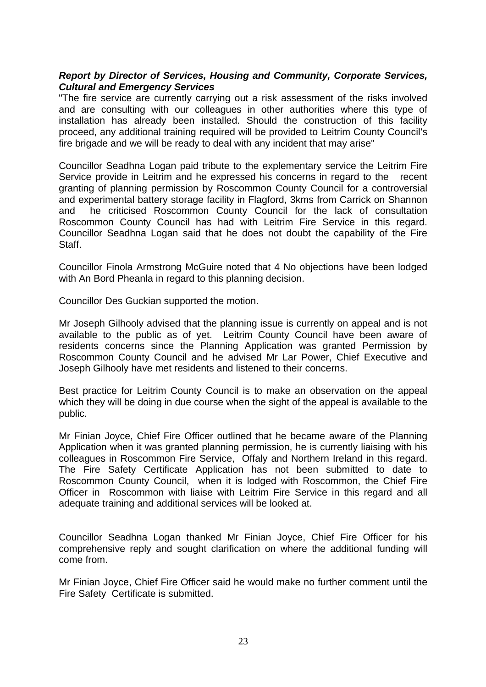#### *Report by Director of Services, Housing and Community, Corporate Services, Cultural and Emergency Services*

"The fire service are currently carrying out a risk assessment of the risks involved and are consulting with our colleagues in other authorities where this type of installation has already been installed. Should the construction of this facility proceed, any additional training required will be provided to Leitrim County Council's fire brigade and we will be ready to deal with any incident that may arise"

Councillor Seadhna Logan paid tribute to the explementary service the Leitrim Fire Service provide in Leitrim and he expressed his concerns in regard to the recent granting of planning permission by Roscommon County Council for a controversial and experimental battery storage facility in Flagford, 3kms from Carrick on Shannon and he criticised Roscommon County Council for the lack of consultation Roscommon County Council has had with Leitrim Fire Service in this regard. Councillor Seadhna Logan said that he does not doubt the capability of the Fire Staff.

Councillor Finola Armstrong McGuire noted that 4 No objections have been lodged with An Bord Pheanla in regard to this planning decision.

Councillor Des Guckian supported the motion.

Mr Joseph Gilhooly advised that the planning issue is currently on appeal and is not available to the public as of yet. Leitrim County Council have been aware of residents concerns since the Planning Application was granted Permission by Roscommon County Council and he advised Mr Lar Power, Chief Executive and Joseph Gilhooly have met residents and listened to their concerns.

Best practice for Leitrim County Council is to make an observation on the appeal which they will be doing in due course when the sight of the appeal is available to the public.

Mr Finian Joyce, Chief Fire Officer outlined that he became aware of the Planning Application when it was granted planning permission, he is currently liaising with his colleagues in Roscommon Fire Service, Offaly and Northern Ireland in this regard. The Fire Safety Certificate Application has not been submitted to date to Roscommon County Council, when it is lodged with Roscommon, the Chief Fire Officer in Roscommon with liaise with Leitrim Fire Service in this regard and all adequate training and additional services will be looked at.

Councillor Seadhna Logan thanked Mr Finian Joyce, Chief Fire Officer for his comprehensive reply and sought clarification on where the additional funding will come from.

Mr Finian Joyce, Chief Fire Officer said he would make no further comment until the Fire Safety Certificate is submitted.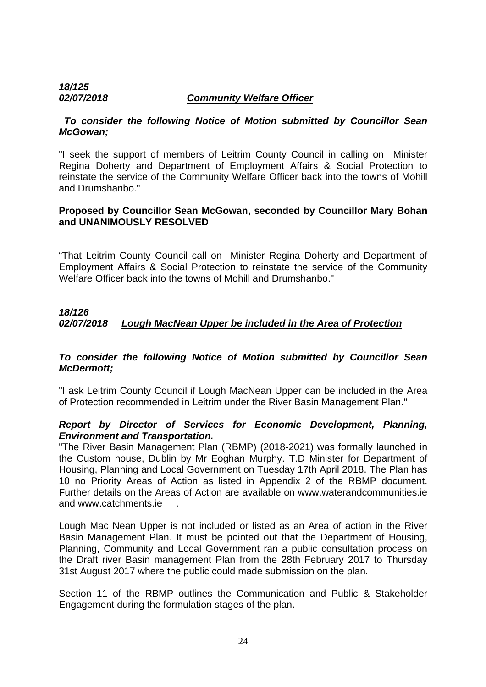#### *18/125 02/07/2018 Community Welfare Officer*

#### *To consider the following Notice of Motion submitted by Councillor Sean McGowan;*

"I seek the support of members of Leitrim County Council in calling on Minister Regina Doherty and Department of Employment Affairs & Social Protection to reinstate the service of the Community Welfare Officer back into the towns of Mohill and Drumshanbo."

#### **Proposed by Councillor Sean McGowan, seconded by Councillor Mary Bohan and UNANIMOUSLY RESOLVED**

"That Leitrim County Council call on Minister Regina Doherty and Department of Employment Affairs & Social Protection to reinstate the service of the Community Welfare Officer back into the towns of Mohill and Drumshanbo."

# *18/126 02/07/2018 Lough MacNean Upper be included in the Area of Protection*

# *To consider the following Notice of Motion submitted by Councillor Sean McDermott;*

"I ask Leitrim County Council if Lough MacNean Upper can be included in the Area of Protection recommended in Leitrim under the River Basin Management Plan."

#### *Report by Director of Services for Economic Development, Planning, Environment and Transportation.*

"The River Basin Management Plan (RBMP) (2018-2021) was formally launched in the Custom house, Dublin by Mr Eoghan Murphy. T.D Minister for Department of Housing, Planning and Local Government on Tuesday 17th April 2018. The Plan has 10 no Priority Areas of Action as listed in Appendix 2 of the RBMP document. Further details on the Areas of Action are available on www.waterandcommunities.ie and www.catchments.ie .

Lough Mac Nean Upper is not included or listed as an Area of action in the River Basin Management Plan. It must be pointed out that the Department of Housing, Planning, Community and Local Government ran a public consultation process on the Draft river Basin management Plan from the 28th February 2017 to Thursday 31st August 2017 where the public could made submission on the plan.

Section 11 of the RBMP outlines the Communication and Public & Stakeholder Engagement during the formulation stages of the plan.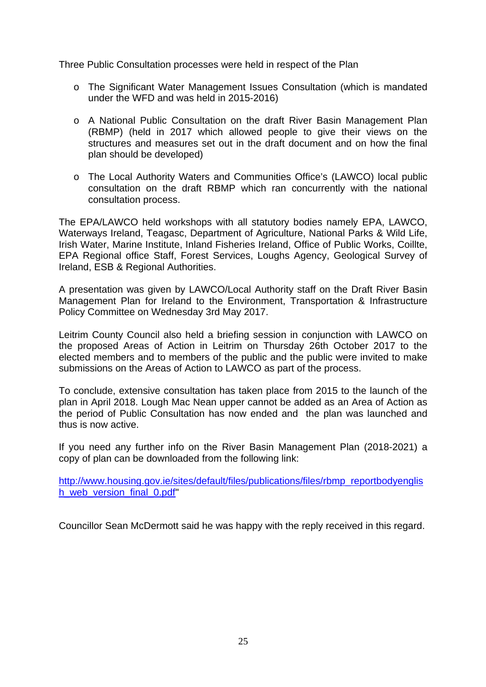Three Public Consultation processes were held in respect of the Plan

- o The Significant Water Management Issues Consultation (which is mandated under the WFD and was held in 2015-2016)
- o A National Public Consultation on the draft River Basin Management Plan (RBMP) (held in 2017 which allowed people to give their views on the structures and measures set out in the draft document and on how the final plan should be developed)
- o The Local Authority Waters and Communities Office's (LAWCO) local public consultation on the draft RBMP which ran concurrently with the national consultation process.

The EPA/LAWCO held workshops with all statutory bodies namely EPA, LAWCO, Waterways Ireland, Teagasc, Department of Agriculture, National Parks & Wild Life, Irish Water, Marine Institute, Inland Fisheries Ireland, Office of Public Works, Coillte, EPA Regional office Staff, Forest Services, Loughs Agency, Geological Survey of Ireland, ESB & Regional Authorities.

A presentation was given by LAWCO/Local Authority staff on the Draft River Basin Management Plan for Ireland to the Environment, Transportation & Infrastructure Policy Committee on Wednesday 3rd May 2017.

Leitrim County Council also held a briefing session in conjunction with LAWCO on the proposed Areas of Action in Leitrim on Thursday 26th October 2017 to the elected members and to members of the public and the public were invited to make submissions on the Areas of Action to LAWCO as part of the process.

To conclude, extensive consultation has taken place from 2015 to the launch of the plan in April 2018. Lough Mac Nean upper cannot be added as an Area of Action as the period of Public Consultation has now ended and the plan was launched and thus is now active.

If you need any further info on the River Basin Management Plan (2018-2021) a copy of plan can be downloaded from the following link:

[http://www.housing.gov.ie/sites/default/files/publications/files/rbmp\\_reportbodyenglis](http://www.housing.gov.ie/sites/default/files/publications/files/rbmp_reportbodyenglish_web_version_final_0.pdf) [h\\_web\\_version\\_final\\_0.pdf"](http://www.housing.gov.ie/sites/default/files/publications/files/rbmp_reportbodyenglish_web_version_final_0.pdf)

Councillor Sean McDermott said he was happy with the reply received in this regard.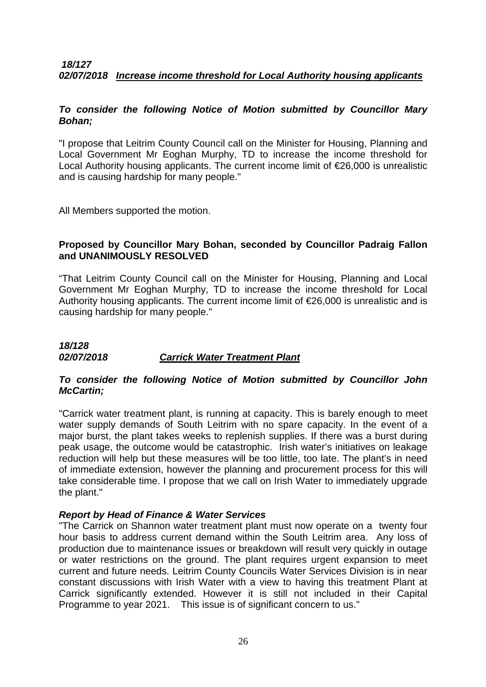#### *18/127 02/07/2018 Increase income threshold for Local Authority housing applicants*

#### *To consider the following Notice of Motion submitted by Councillor Mary Bohan;*

"I propose that Leitrim County Council call on the Minister for Housing, Planning and Local Government Mr Eoghan Murphy, TD to increase the income threshold for Local Authority housing applicants. The current income limit of €26,000 is unrealistic and is causing hardship for many people."

All Members supported the motion.

#### **Proposed by Councillor Mary Bohan, seconded by Councillor Padraig Fallon and UNANIMOUSLY RESOLVED**

"That Leitrim County Council call on the Minister for Housing, Planning and Local Government Mr Eoghan Murphy, TD to increase the income threshold for Local Authority housing applicants. The current income limit of €26,000 is unrealistic and is causing hardship for many people."

#### *18/128 02/07/2018 Carrick Water Treatment Plant*

#### *To consider the following Notice of Motion submitted by Councillor John McCartin;*

"Carrick water treatment plant, is running at capacity. This is barely enough to meet water supply demands of South Leitrim with no spare capacity. In the event of a major burst, the plant takes weeks to replenish supplies. If there was a burst during peak usage, the outcome would be catastrophic. Irish water's initiatives on leakage reduction will help but these measures will be too little, too late. The plant's in need of immediate extension, however the planning and procurement process for this will take considerable time. I propose that we call on Irish Water to immediately upgrade the plant."

#### *Report by Head of Finance & Water Services*

"The Carrick on Shannon water treatment plant must now operate on a twenty four hour basis to address current demand within the South Leitrim area. Any loss of production due to maintenance issues or breakdown will result very quickly in outage or water restrictions on the ground. The plant requires urgent expansion to meet current and future needs. Leitrim County Councils Water Services Division is in near constant discussions with Irish Water with a view to having this treatment Plant at Carrick significantly extended. However it is still not included in their Capital Programme to year 2021. This issue is of significant concern to us."